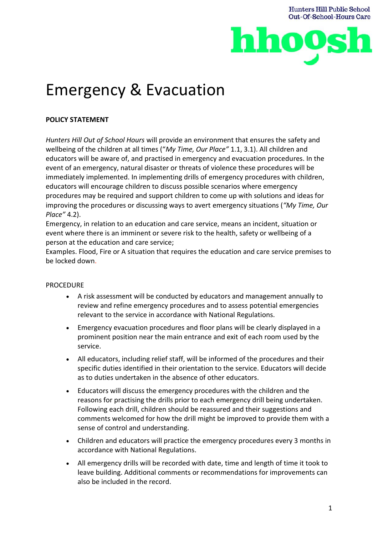

# Emergency & Evacuation

# **POLICY STATEMENT**

*Hunters Hill Out of School Hours* will provide an environment that ensures the safety and wellbeing of the children at all times ("*My Time, Our Place"* 1.1, 3.1). All children and educators will be aware of, and practised in emergency and evacuation procedures. In the event of an emergency, natural disaster or threats of violence these procedures will be immediately implemented. In implementing drills of emergency procedures with children, educators will encourage children to discuss possible scenarios where emergency procedures may be required and support children to come up with solutions and ideas for improving the procedures or discussing ways to avert emergency situations (*"My Time, Our Place"* 4.2).

Emergency, in relation to an education and care service, means an incident, situation or event where there is an imminent or severe risk to the health, safety or wellbeing of a person at the education and care service;

Examples. Flood, Fire or A situation that requires the education and care service premises to be locked down.

## PROCEDURE

- A risk assessment will be conducted by educators and management annually to review and refine emergency procedures and to assess potential emergencies relevant to the service in accordance with National Regulations.
- Emergency evacuation procedures and floor plans will be clearly displayed in a prominent position near the main entrance and exit of each room used by the service.
- All educators, including relief staff, will be informed of the procedures and their specific duties identified in their orientation to the service. Educators will decide as to duties undertaken in the absence of other educators.
- Educators will discuss the emergency procedures with the children and the reasons for practising the drills prior to each emergency drill being undertaken. Following each drill, children should be reassured and their suggestions and comments welcomed for how the drill might be improved to provide them with a sense of control and understanding.
- Children and educators will practice the emergency procedures every 3 months in accordance with National Regulations.
- All emergency drills will be recorded with date, time and length of time it took to leave building. Additional comments or recommendations for improvements can also be included in the record.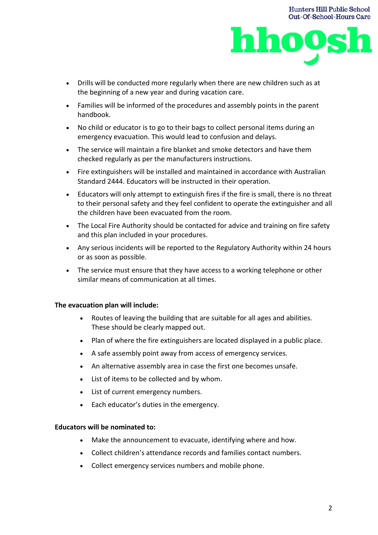

- Drills will be conducted more regularly when there are new children such as at the beginning of a new year and during vacation care.
- Families will be informed of the procedures and assembly points in the parent handbook.
- No child or educator is to go to their bags to collect personal items during an emergency evacuation. This would lead to confusion and delays.
- The service will maintain a fire blanket and smoke detectors and have them checked regularly as per the manufacturers instructions.
- Fire extinguishers will be installed and maintained in accordance with Australian Standard 2444. Educators will be instructed in their operation.
- Educators will only attempt to extinguish fires if the fire is small, there is no threat to their personal safety and they feel confident to operate the extinguisher and all the children have been evacuated from the room.
- The Local Fire Authority should be contacted for advice and training on fire safety and this plan included in your procedures.
- Any serious incidents will be reported to the Regulatory Authority within 24 hours or as soon as possible.
- The service must ensure that they have access to a working telephone or other similar means of communication at all times.

## **The evacuation plan will include:**

- Routes of leaving the building that are suitable for all ages and abilities. These should be clearly mapped out.
- Plan of where the fire extinguishers are located displayed in a public place.
- A safe assembly point away from access of emergency services.
- An alternative assembly area in case the first one becomes unsafe.
- List of items to be collected and by whom.
- List of current emergency numbers.
- Each educator's duties in the emergency.

#### **Educators will be nominated to:**

- Make the announcement to evacuate, identifying where and how.
- Collect children's attendance records and families contact numbers.
- Collect emergency services numbers and mobile phone.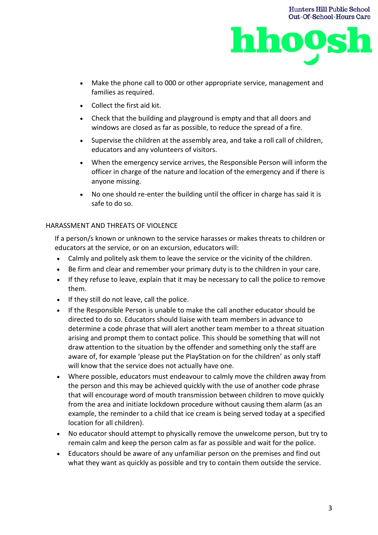

**Hunters Hill Public School** 

- Make the phone call to 000 or other appropriate service, management and families as required.
- Collect the first aid kit.
- Check that the building and playground is empty and that all doors and windows are closed as far as possible, to reduce the spread of a fire.
- Supervise the children at the assembly area, and take a roll call of children, educators and any volunteers of visitors.
- When the emergency service arrives, the Responsible Person will inform the officer in charge of the nature and location of the emergency and if there is anyone missing.
- No one should re-enter the building until the officer in charge has said it is safe to do so.

## HARASSMENT AND THREATS OF VIOLENCE

If a person/s known or unknown to the service harasses or makes threats to children or educators at the service, or on an excursion, educators will:

- Calmly and politely ask them to leave the service or the vicinity of the children.
- Be firm and clear and remember your primary duty is to the children in your care.
- If they refuse to leave, explain that it may be necessary to call the police to remove them.
- If they still do not leave, call the police.
- If the Responsible Person is unable to make the call another educator should be directed to do so. Educators should liaise with team members in advance to determine a code phrase that will alert another team member to a threat situation arising and prompt them to contact police. This should be something that will not draw attention to the situation by the offender and something only the staff are aware of, for example 'please put the PlayStation on for the children' as only staff will know that the service does not actually have one.
- Where possible, educators must endeavour to calmly move the children away from the person and this may be achieved quickly with the use of another code phrase that will encourage word of mouth transmission between children to move quickly from the area and initiate lockdown procedure without causing them alarm (as an example, the reminder to a child that ice cream is being served today at a specified location for all children).
- No educator should attempt to physically remove the unwelcome person, but try to remain calm and keep the person calm as far as possible and wait for the police.
- Educators should be aware of any unfamiliar person on the premises and find out what they want as quickly as possible and try to contain them outside the service.